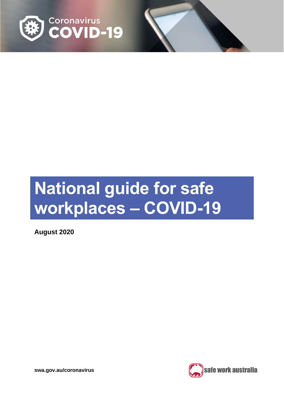

# **National guide for safe workplaces – COVID-19**

**August 2020**

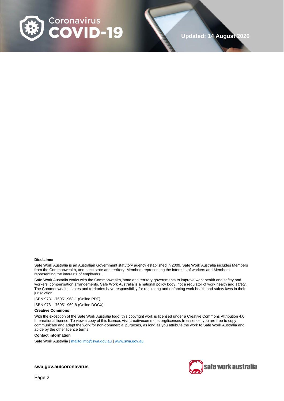

#### **Disclaimer**

Safe Work Australia is an Australian Government statutory agency established in 2009. Safe Work Australia includes Members from the Commonwealth, and each state and territory, Members representing the interests of workers and Members representing the interests of employers.

Safe Work Australia works with the Commonwealth, state and territory governments to improve work health and safety and workers' compensation arrangements. Safe Work Australia is a national policy body, not a regulator of work health and safety. The Commonwealth, states and territories have responsibility for regulating and enforcing work health and safety laws in their jurisdiction.

ISBN 978-1-76051-968-1 (Online PDF)

ISBN 978-1-76051-969-8 (Online DOCX)

#### **Creative Commons**

With the exception of the Safe Work Australia logo, this copyright work is licensed under a Creative Commons Attribution 4.0 International licence. To view a copy of this licence, visit creativecommons.org/licenses In essence, you are free to copy, communicate and adapt the work for non-commercial purposes, as long as you attribute the work to Safe Work Australia and abide by the other licence terms.

#### **Contact information**

Safe Work Australia [| mailto:info@swa.gov.au](mailto:info@swa.gov.au) | [www.swa.gov.au](http://swa.hosts.application.enet/business-support/Communication/Documents/www.swa.gov.au)

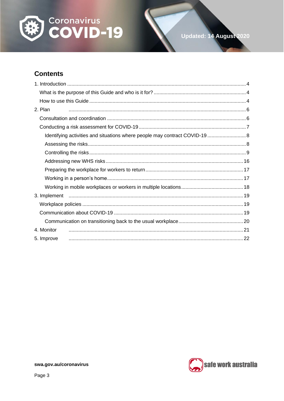

## **Contents**

| 2. Plan                                                                     |  |
|-----------------------------------------------------------------------------|--|
|                                                                             |  |
|                                                                             |  |
| Identifying activities and situations where people may contract COVID-19  8 |  |
|                                                                             |  |
|                                                                             |  |
|                                                                             |  |
|                                                                             |  |
|                                                                             |  |
|                                                                             |  |
|                                                                             |  |
|                                                                             |  |
|                                                                             |  |
|                                                                             |  |
| 4. Monitor                                                                  |  |
| 5. Improve                                                                  |  |

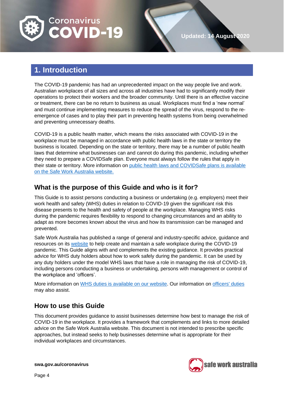

## <span id="page-3-0"></span>**1. Introduction**

The COVID-19 pandemic has had an unprecedented impact on the way people live and work. Australian workplaces of all sizes and across all industries have had to significantly modify their operations to protect their workers and the broader community. Until there is an effective vaccine or treatment, there can be no return to business as usual. Workplaces must find a 'new normal' and must continue implementing measures to reduce the spread of the virus, respond to the reemergence of cases and to play their part in preventing health systems from being overwhelmed and preventing unnecessary deaths.

COVID-19 is a public health matter, which means the risks associated with COVID-19 in the workplace must be managed in accordance with public health laws in the state or territory the business is located. Depending on the state or territory, there may be a number of public health laws that determine what businesses can and cannot do during this pandemic, including whether they need to prepare a COVIDSafe plan. Everyone must always follow the rules that apply in their state or territory. More information on public health laws and [COVIDSafe plans is available](https://www.safeworkaustralia.gov.au/covid-19-information-workplaces/other-resources/covid-19-public-health-directions-and-covidsafe)  on [the Safe Work Australia](https://www.safeworkaustralia.gov.au/covid-19-information-workplaces/other-resources/covid-19-public-health-directions-and-covidsafe) website.

### <span id="page-3-1"></span>**What is the purpose of this Guide and who is it for?**

This Guide is to assist persons conducting a business or undertaking (e.g. employers) meet their work health and safety (WHS) duties in relation to COVID-19 given the significant risk this disease presents to the health and safety of people at the workplace. Managing WHS risks during the pandemic requires flexibility to respond to changing circumstances and an ability to adapt as more becomes known about the virus and how its transmission can be managed and prevented.

Safe Work Australia has published a range of general and industry-specific advice, guidance and resources on its [website](https://www.safeworkaustralia.gov.au/) to help create and maintain a safe workplace during the COVID-19 pandemic. This Guide aligns with and complements the existing guidance. It provides practical advice for WHS duty holders about how to work safely during the pandemic. It can be used by any duty holders under the model WHS laws that have a role in managing the risk of COVID-19, including persons conducting a business or undertaking, persons with management or control of the workplace and 'officers'.

More information on [WHS duties is available on our website.](https://www.safeworkaustralia.gov.au/covid-19-information-workplaces/industry-information/general-industry-information/duties-under-whs) Our information on [officers' duties](https://www.safeworkaustralia.gov.au/officer-duties-covid-19) may also assist.

## <span id="page-3-2"></span>**How to use this Guide**

This document provides guidance to assist businesses determine how best to manage the risk of COVID-19 in the workplace. It provides a framework that complements and links to more detailed advice on the Safe Work Australia website. This document is not intended to prescribe specific approaches, but instead seeks to help businesses determine what is appropriate for their individual workplaces and circumstances.

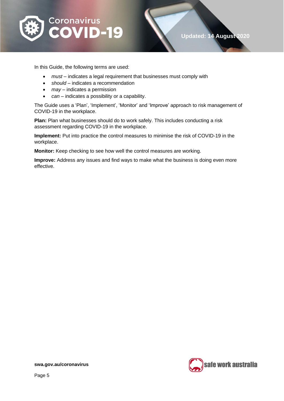

In this Guide, the following terms are used:

- *must* indicates a legal requirement that businesses must comply with
- *should* indicates a recommendation
- *may* indicates a permission
- *can* indicates a possibility or a capability.

The Guide uses a 'Plan', 'Implement', 'Monitor' and 'Improve' approach to risk management of COVID-19 in the workplace.

**Plan:** Plan what businesses should do to work safely. This includes conducting a risk assessment regarding COVID-19 in the workplace.

**Implement:** Put into practice the control measures to minimise the risk of COVID-19 in the workplace.

**Monitor:** Keep checking to see how well the control measures are working.

**Improve:** Address any issues and find ways to make what the business is doing even more effective.

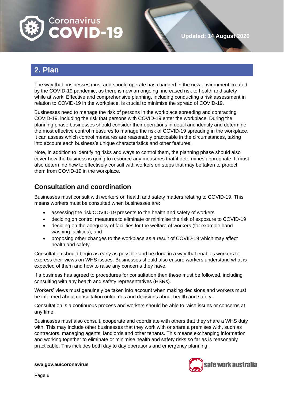

# <span id="page-5-0"></span>**2. Plan**

The way that businesses must and should operate has changed in the new environment created by the COVID-19 pandemic, as there is now an ongoing, increased risk to health and safety while at work. Effective and comprehensive planning, including conducting a risk assessment in relation to COVID-19 in the workplace, is crucial to minimise the spread of COVID-19.

Businesses need to manage the risk of persons in the workplace spreading and contracting COVID-19, including the risk that persons with COVID-19 enter the workplace. During the planning phase businesses should consider their operations in detail and identify and determine the most effective control measures to manage the risk of COVID-19 spreading in the workplace. It can assess which control measures are reasonably practicable in the circumstances, taking into account each business's unique characteristics and other features.

Note, in addition to identifying risks and ways to control them, the planning phase should also cover how the business is going to resource any measures that it determines appropriate. It must also determine how to effectively consult with workers on steps that may be taken to protect them from COVID-19 in the workplace.

## <span id="page-5-1"></span>**Consultation and coordination**

Businesses must consult with workers on health and safety matters relating to COVID-19. This means workers must be consulted when businesses are:

- assessing the risk COVID-19 presents to the health and safety of workers
- deciding on control measures to eliminate or minimise the risk of exposure to COVID-19
- deciding on the adequacy of facilities for the welfare of workers (for example hand washing facilities), and
- proposing other changes to the workplace as a result of COVID-19 which may affect health and safety.

Consultation should begin as early as possible and be done in a way that enables workers to express their views on WHS issues. Businesses should also ensure workers understand what is expected of them and how to raise any concerns they have.

If a business has agreed to procedures for consultation then these must be followed, including consulting with any health and safety representatives (HSRs).

Workers' views must genuinely be taken into account when making decisions and workers must be informed about consultation outcomes and decisions about health and safety.

Consultation is a continuous process and workers should be able to raise issues or concerns at any time.

Businesses must also consult, cooperate and coordinate with others that they share a WHS duty with. This may include other businesses that they work with or share a premises with, such as contractors, managing agents, landlords and other tenants. This means exchanging information and working together to eliminate or minimise health and safety risks so far as is reasonably practicable. This includes both day to day operations and emergency planning.

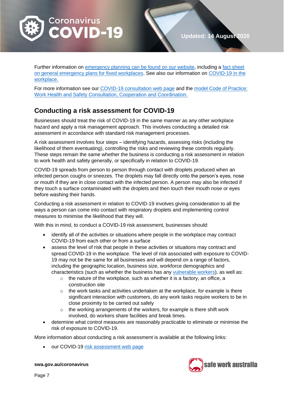

Further information on [emergency planning can be found on our website,](https://www.safeworkaustralia.gov.au/topic/emergency-plans-and-procedures) including a fact sheet [on general emergency plans for fixed workplaces.](https://www.safeworkaustralia.gov.au/doc/emergency-plans-fact-sheet) See also our information on [COVID-19 in the](https://www.safeworkaustralia.gov.au/covid-19-information-workplaces/industry-information/general-industry-information/covid-19-your)  [workplace.](https://www.safeworkaustralia.gov.au/covid-19-information-workplaces/industry-information/general-industry-information/covid-19-your)

For more information see our [COVID-19 consultation web](https://www.safeworkaustralia.gov.au/covid-19-information-workplaces/industry-information/general-industry-information/consultation) page and the [model Code of Practice:](https://www.safeworkaustralia.gov.au/doc/model-code-practice-work-health-and-safety-consultation-cooperation-and-coordination)  [Work Health and Safety Consultation, Cooperation and Coordination.](https://www.safeworkaustralia.gov.au/doc/model-code-practice-work-health-and-safety-consultation-cooperation-and-coordination)

## <span id="page-6-0"></span>**Conducting a risk assessment for COVID-19**

Businesses should treat the risk of COVID-19 in the same manner as any other workplace hazard and apply a risk management approach. This involves conducting a detailed risk assessment in accordance with standard risk management processes.

A risk assessment involves four steps – identifying hazards, assessing risks (including the likelihood of them eventuating), controlling the risks and reviewing these controls regularly. These steps remain the same whether the business is conducting a risk assessment in relation to work health and safety generally, or specifically in relation to COVID-19.

COVID-19 spreads from person to person through contact with droplets produced when an infected person coughs or sneezes. The droplets may fall directly onto the person's eyes, nose or mouth if they are in close contact with the infected person. A person may also be infected if they touch a surface contaminated with the droplets and then touch their mouth nose or eyes before washing their hands.

Conducting a risk assessment in relation to COVID-19 involves giving consideration to all the ways a person can come into contact with respiratory droplets and implementing control measures to minimise the likelihood that they will.

With this in mind, to conduct a COVID-19 risk assessment, businesses should:

- identify all of the activities or situations where people in the workplace may contract COVID-19 from each other or from a surface
- assess the level of risk that people in these activities or situations may contract and spread COVID-19 in the workplace. The level of risk associated with exposure to COVID-19 may not be the same for all businesses and will depend on a range of factors, including the geographic location, business size, workforce demographics and characteristics (such as whether the business has any [vulnerable workers\)](https://www.safeworkaustralia.gov.au/covid-19-information-workplaces/industry-information/general-industry-information/vulnerable), as well as:
	- o the nature of the workplace, such as whether it is a factory, an office, a construction site
	- $\circ$  the work tasks and activities undertaken at the workplace, for example is there significant interaction with customers, do any work tasks require workers to be in close proximity to be carried out safely
	- the working arrangements of the workers, for example is there shift work involved, do workers share facilities and break times.
- determine what control measures are reasonably practicable to eliminate or minimise the risk of exposure to COVID-19.

More information about conducting a risk assessment is available at the following links:

• our COVID-19 [risk assessment web](https://www.safeworkaustralia.gov.au/covid-19-information-workplaces/industry-information/general-industry-information/risk-assessment) page

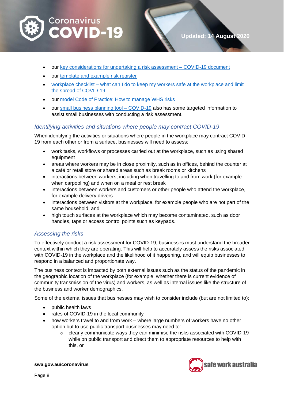

- our [key considerations for undertaking a risk assessment –](https://www.safeworkaustralia.gov.au/doc/key-considerations-undertaking-risk-assessment-covid-19https:/www.safeworkaustralia.gov.au/doc/key-considerations-undertaking-risk-assessment-covid-19) COVID-19 document
- our [template and example risk register](https://www.safeworkaustralia.gov.au/doc/template-and-example-covid-19-risk-register)
- workplace checklist what can I do to keep my workers safe at the workplace and limit [the spread of COVID-19](https://www.safeworkaustralia.gov.au/doc/workplace-checklist-covid-19)
- our [model Code of Practice: How to manage WHS risks](https://www.safeworkaustralia.gov.au/doc/model-code-practice-how-manage-work-health-and-safety-risks)
- our [small business planning tool –](https://www.safeworkaustralia.gov.au/doc/small-business-planning-tool-covid-19) COVID-19 also has some targeted information to assist small businesses with conducting a risk assessment.

#### <span id="page-7-0"></span>*Identifying activities and situations where people may contract COVID-19*

When identifying the activities or situations where people in the workplace may contract COVID-19 from each other or from a surface, businesses will need to assess:

- work tasks, workflows or processes carried out at the workplace, such as using shared equipment
- areas where workers may be in close proximity, such as in offices, behind the counter at a café or retail store or shared areas such as break rooms or kitchens
- interactions between workers, including when travelling to and from work (for example when carpooling) and when on a meal or rest break
- interactions between workers and customers or other people who attend the workplace, for example delivery drivers
- interactions between visitors at the workplace, for example people who are not part of the same household, and
- high touch surfaces at the workplace which may become contaminated, such as door handles, taps or access control points such as keypads.

#### <span id="page-7-1"></span>*Assessing the risks*

To effectively conduct a risk assessment for COVID-19, businesses must understand the broader context within which they are operating. This will help to accurately assess the risks associated with COVID-19 in the workplace and the likelihood of it happening, and will equip businesses to respond in a balanced and proportionate way.

The business context is impacted by both external issues such as the status of the pandemic in the geographic location of the workplace (for example, whether there is current evidence of community transmission of the virus) and workers, as well as internal issues like the structure of the business and worker demographics.

Some of the external issues that businesses may wish to consider include (but are not limited to):

- public health laws
- rates of COVID-19 in the local community
- how workers travel to and from work where large numbers of workers have no other option but to use public transport businesses may need to:
	- $\circ$  clearly communicate ways they can minimise the risks associated with COVID-19 while on public transport and direct them to appropriate resources to help with this, or

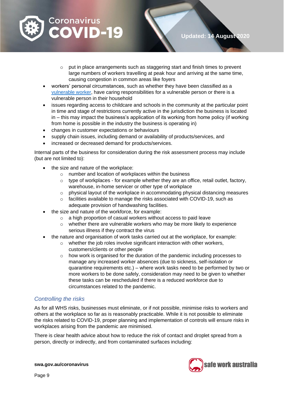

- o put in place arrangements such as staggering start and finish times to prevent large numbers of workers travelling at peak hour and arriving at the same time, causing congestion in common areas like foyers
- workers' personal circumstances, such as whether they have been classified as a [vulnerable worker,](https://www.safeworkaustralia.gov.au/covid-19-information-workplaces/industry-information/general-industry-information/vulnerable?tab=tab-toc-worker) have caring responsibilities for a vulnerable person or there is a vulnerable person in their household
- issues regarding access to childcare and schools in the community at the particular point in time and stage of restrictions currently active in the jurisdiction the business is located in – this may impact the business's application of its working from home policy (if working from home is possible in the industry the business is operating in)
- changes in customer expectations or behaviours
- supply chain issues, including demand or availability of products/services, and
- increased or decreased demand for products/services.

Internal parts of the business for consideration during the risk assessment process may include (but are not limited to):

- the size and nature of the workplace:
	- o number and location of workplaces within the business
	- $\circ$  type of workplaces for example whether they are an office, retail outlet, factory, warehouse, in-home servicer or other type of workplace
	- o physical layout of the workplace in accommodating physical distancing measures
	- $\circ$  facilities available to manage the risks associated with COVID-19, such as adequate provision of handwashing facilities.
- the size and nature of the workforce, for example:
	- o a high proportion of casual workers without access to paid leave
	- $\circ$  whether there are vulnerable workers who may be more likely to experience serious illness if they contract the virus
- the nature and organisation of work tasks carried out at the workplace, for example:
	- o whether the job roles involve significant interaction with other workers, customers/clients or other people
	- o how work is organised for the duration of the pandemic including processes to manage any increased worker absences (due to sickness, self-isolation or quarantine requirements etc.) – where work tasks need to be performed by two or more workers to be done safely, consideration may need to be given to whether these tasks can be rescheduled if there is a reduced workforce due to circumstances related to the pandemic.

#### <span id="page-8-0"></span>*Controlling the risks*

As for all WHS risks, businesses must eliminate, or if not possible, minimise risks to workers and others at the workplace so far as is reasonably practicable. While it is not possible to eliminate the risks related to COVID-19, proper planning and implementation of controls will ensure risks in workplaces arising from the pandemic are minimised.

There is clear health advice about how to reduce the risk of contact and droplet spread from a person, directly or indirectly, and from contaminated surfaces including:

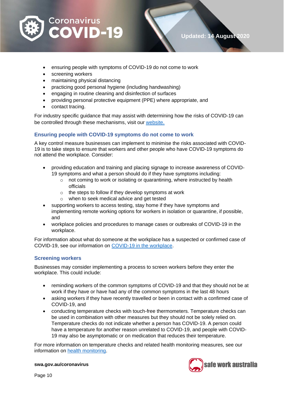

- ensuring people with symptoms of COVID-19 do not come to work
- screening workers
- maintaining physical distancing
- practicing good personal hygiene (including handwashing)
- engaging in routine cleaning and disinfection of surfaces
- providing personal protective equipment (PPE) where appropriate, and
- contact tracing.

For industry specific guidance that may assist with determining how the risks of COVID-19 can be controlled through these mechanisms, visit our [website](https://www.safeworkaustralia.gov.au/covid-19-information-workplaces/industry-information-covid-19)[.](https://www.safeworkaustralia.gov.au/covid-19-information-workplaces/industry-information-covid-19)

#### **Ensuring people with COVID-19 symptoms do not come to work**

A key control measure businesses can implement to minimise the risks associated with COVID-19 is to take steps to ensure that workers and other people who have COVID-19 symptoms do not attend the workplace. Consider:

- providing education and training and placing signage to increase awareness of COVID-19 symptoms and what a person should do if they have symptoms including:
	- o not coming to work or isolating or quarantining, where instructed by health officials
	- $\circ$  the steps to follow if they develop symptoms at work
	- o when to seek medical advice and get tested
- supporting workers to access testing, stay home if they have symptoms and implementing remote working options for workers in isolation or quarantine, if possible, and
- workplace policies and procedures to manage cases or outbreaks of COVID-19 in the workplace.

For information about what do someone at the workplace has a suspected or confirmed case of COVID-19, see our information on [COVID-19 in the workplace](https://www.safeworkaustralia.gov.au/covid-19-information-workplaces/industry-information/general-industry-information/covid-19-your).

#### **Screening workers**

Businesses may consider implementing a process to screen workers before they enter the workplace. This could include:

- reminding workers of the common symptoms of COVID-19 and that they should not be at work if they have or have had any of the common symptoms in the last 48 hours
- asking workers if they have recently travelled or been in contact with a confirmed case of COVID-19, and
- conducting temperature checks with touch-free thermometers. Temperature checks can be used in combination with other measures but they should not be solely relied on. Temperature checks do not indicate whether a person has COVID-19. A person could have a temperature for another reason unrelated to COVID-19, and people with COVID-19 may also be asymptomatic or on medication that reduces their temperature.

For more information on temperature checks and related health monitoring measures, see our information on [health monitoring.](https://www.safeworkaustralia.gov.au/covid-19-information-workplaces/industry-information/general-industry-information/health-monitoring)

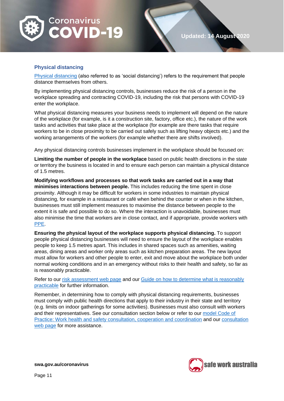

#### **Physical distancing**

[Physical distancing](https://www.health.gov.au/news/health-alerts/novel-coronavirus-2019-ncov-health-alert/how-to-protect-yourself-and-others-from-coronavirus-covid-19/social-distancing-for-coronavirus-covid-19) (also referred to as 'social distancing') refers to the requirement that people distance themselves from others.

By implementing physical distancing controls, businesses reduce the risk of a person in the workplace spreading and contracting COVID-19, including the risk that persons with COVID-19 enter the workplace.

What physical distancing measures your business needs to implement will depend on the nature of the workplace (for example, is it a construction site, factory, office etc.), the nature of the work tasks and activities that take place at the workplace (for example are there tasks that require workers to be in close proximity to be carried out safely such as lifting heavy objects etc.) and the working arrangements of the workers (for example whether there are shifts involved).

Any physical distancing controls businesses implement in the workplace should be focused on:

**Limiting the number of people in the workplace** based on public health directions in the state or territory the business is located in and to ensure each person can maintain a physical distance of 1.5 metres.

**Modifying workflows and processes so that work tasks are carried out in a way that minimises interactions between people.** This includes reducing the time spent in close proximity. Although it may be difficult for workers in some industries to maintain physical distancing, for example in a restaurant or café when behind the counter or when in the kitchen, businesses must still implement measures to maximise the distance between people to the extent it is safe and possible to do so. Where the interaction is unavoidable, businesses must also minimise the time that workers are in close contact, and if appropriate, provide workers with [PPE.](https://www.safeworkaustralia.gov.au/covid-19-information-workplaces/industry-information/general-industry-information/ppe)

**Ensuring the physical layout of the workplace supports physical distancing.** To support people physical distancing businesses will need to ensure the layout of the workplace enables people to keep 1.5 metres apart. This includes in shared spaces such as amenities, waiting areas, dining areas and worker only areas such as kitchen preparation areas. The new layout must allow for workers and other people to enter, exit and move about the workplace both under normal working conditions and in an emergency without risks to their health and safety, so far as is reasonably practicable.

Refer to our [risk assessment web page](https://www.safeworkaustralia.gov.au/covid-19-information-workplaces/industry-information/general-industry-information/risk-assessment) and our Guide [on how to determine what is reasonably](https://www.safeworkaustralia.gov.au/doc/how-determine-what-reasonably-practicable-meet-health-and-safety-duty)  [practicable](https://www.safeworkaustralia.gov.au/doc/how-determine-what-reasonably-practicable-meet-health-and-safety-duty) for further information.

Remember, in determining how to comply with physical distancing requirements, businesses must comply with public health directions that apply to their industry in their state and territory (e.g. limits on indoor gatherings for some activities). Businesses must also consult with workers and their representatives. See our consultation section below or refer to our [model Code of](https://www.safeworkaustralia.gov.au/doc/model-code-practice-work-health-and-safety-consultation-cooperation-and-coordination)  [Practice: Work health and safety consultation, cooperation and coordination](https://www.safeworkaustralia.gov.au/doc/model-code-practice-work-health-and-safety-consultation-cooperation-and-coordination) and our [consultation](https://www.safeworkaustralia.gov.au/covid-19-information-workplaces/industry-information/general-industry-information/consultation)  web [page](https://www.safeworkaustralia.gov.au/covid-19-information-workplaces/industry-information/general-industry-information/consultation) for more assistance.

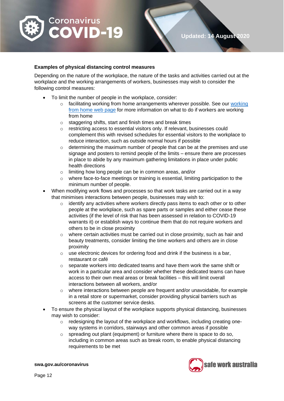

#### **Examples of physical distancing control measures**

Depending on the nature of the workplace, the nature of the tasks and activities carried out at the workplace and the working arrangements of workers, businesses may wish to consider the following control measures:

- To limit the number of people in the workplace, consider:
	- $\circ$  facilitating [working](https://www.safeworkaustralia.gov.au/covid-19-information-workplaces/industry-information/general-industry-information/working-home) from home arrangements wherever possible. See our working [from home web page](https://www.safeworkaustralia.gov.au/covid-19-information-workplaces/industry-information/general-industry-information/working-home) for more information on what to do if workers are working from home
	- o staggering shifts, start and finish times and break times
	- o restricting access to essential visitors only. If relevant, businesses could complement this with revised schedules for essential visitors to the workplace to reduce interaction, such as outside normal hours if possible
	- $\circ$  determining the maximum number of people that can be at the premises and use signage and posters to remind people of the limits – ensure there are processes in place to abide by any maximum gathering limitations in place under public health directions
	- o limiting how long people can be in common areas, and/or
	- $\circ$  where face-to-face meetings or training is essential, limiting participation to the minimum number of people.
- When modifying work flows and processes so that work tasks are carried out in a way that minimises interactions between people, businesses may wish to:
	- o identify any activities where workers directly pass items to each other or to other people at the workplace, such as spare parts or samples and either cease these activities (if the level of risk that has been assessed in relation to COVID-19 warrants it) or establish ways to continue them that do not require workers and others to be in close proximity
	- o where certain activities must be carried out in close proximity, such as hair and beauty treatments, consider limiting the time workers and others are in close proximity
	- $\circ$  use electronic devices for ordering food and drink if the business is a bar, restaurant or café
	- $\circ$  separate workers into dedicated teams and have them work the same shift or work in a particular area and consider whether these dedicated teams can have access to their own meal areas or break facilities – this will limit overall interactions between all workers, and/or
	- $\circ$  where interactions between people are frequent and/or unavoidable, for example in a retail store or supermarket, consider providing physical barriers such as screens at the customer service desks.
- To ensure the physical layout of the workplace supports physical distancing, businesses may wish to consider:
	- $\circ$  redesigning the layout of the workplace and workflows, including creating oneway systems in corridors, stairways and other common areas if possible
	- o spreading out plant (equipment) or furniture where there is space to do so, including in common areas such as break room, to enable physical distancing requirements to be met

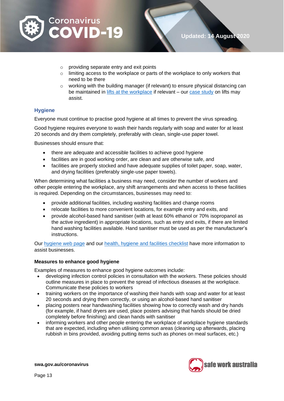

- o providing separate entry and exit points
- $\circ$  limiting access to the workplace or parts of the workplace to only workers that need to be there
- $\circ$  working with the building manager (if relevant) to ensure physical distancing can be maintained in [lifts at the workplace](https://www.safeworkaustralia.gov.au/covid-19-information-workplaces/industry-information/general-industry-information/physical#heading--8--tab-toc-lifts) if relevant – our [case study](https://www.safeworkaustralia.gov.au/covid-19-information-workplaces/industry-information/general-industry-information/physical#heading--1--tab-toc-case_study –_lifts) on lifts may assist.

#### **Hygiene**

Everyone must continue to practise good hygiene at all times to prevent the virus spreading.

Good hygiene requires everyone to wash their hands regularly with soap and water for at least 20 seconds and dry them completely, preferably with clean, single-use paper towel.

Businesses should ensure that:

- there are adequate and accessible facilities to achieve good hygiene
- facilities are in good working order, are clean and are otherwise safe, and
- facilities are properly stocked and have adequate supplies of toilet paper, soap, water, and drying facilities (preferably single-use paper towels).

When determining what facilities a business may need, consider the number of workers and other people entering the workplace, any shift arrangements and when access to these facilities is required. Depending on the circumstances, businesses may need to:

- provide additional facilities, including washing facilities and change rooms
- relocate facilities to more convenient locations, for example entry and exits, and
- provide alcohol-based hand sanitiser (with at least 60% ethanol or 70% isopropanol as the active ingredient) in appropriate locations, such as entry and exits, if there are limited hand washing facilities available. Hand sanitiser must be used as per the manufacturer's instructions.

Our [hygiene web](https://www.safeworkaustralia.gov.au/covid-19-information-workplaces/industry-information/general-industry-information/hygiene) page and our [health, hygiene and facilities checklist](https://www.safeworkaustralia.gov.au/doc/health-hygiene-facilities-checklist-covid-19) have more information to assist businesses.

#### **Measures to enhance good hygiene**

Examples of measures to enhance good hygiene outcomes include:

- developing infection control policies in consultation with the workers. These policies should outline measures in place to prevent the spread of infectious diseases at the workplace. Communicate these policies to workers
- training workers on the importance of washing their hands with soap and water for at least 20 seconds and drying them correctly, or using an alcohol-based hand sanitiser
- placing posters near handwashing facilities showing how to correctly wash and dry hands (for example, if hand dryers are used, place posters advising that hands should be dried completely before finishing) and clean hands with sanitiser
- informing workers and other people entering the workplace of workplace hygiene standards that are expected, including when utilising common areas (cleaning up afterwards, placing rubbish in bins provided, avoiding putting items such as phones on meal surfaces, etc.)

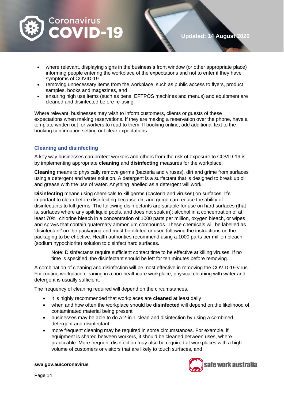

- where relevant, displaying signs in the business's front window (or other appropriate place) informing people entering the workplace of the expectations and not to enter if they have symptoms of COVID-19
- removing unnecessary items from the workplace, such as public access to flyers, product samples, books and magazines, and
- ensuring high use items (such as pens, EFTPOS machines and menus) and equipment are cleaned and disinfected before re-using.

Where relevant, businesses may wish to inform customers, clients or guests of these expectations when making reservations. If they are making a reservation over the phone, have a template written out for workers to read to them. If booking online, add additional text to the booking confirmation setting out clear expectations.

#### **Cleaning and disinfecting**

A key way businesses can protect workers and others from the risk of exposure to COVID-19 is by implementing appropriate **cleaning** and **disinfecting** measures for the workplace.

**Cleaning** means to physically remove germs (bacteria and viruses), dirt and grime from surfaces using a detergent and water solution. A detergent is a surfactant that is designed to break up oil and grease with the use of water. Anything labelled as a detergent will work.

**Disinfecting** means using chemicals to kill germs (bacteria and viruses) on surfaces. It's important to clean before disinfecting because dirt and grime can reduce the ability of disinfectants to kill germs. The following disinfectants are suitable for use on hard surfaces (that is, surfaces where any spilt liquid pools, and does not soak in): alcohol in a concentration of at least 70%, chlorine bleach in a concentration of 1000 parts per million, oxygen bleach, or wipes and sprays that contain quaternary ammonium compounds. These chemicals will be labelled as 'disinfectant' on the packaging and must be diluted or used following the instructions on the packaging to be effective. Health authorities recommend using a 1000 parts per million bleach (sodium hypochlorite) solution to disinfect hard surfaces.

Note: Disinfectants require sufficient contact time to be effective at killing viruses. If no time is specified, the disinfectant should be left for ten minutes before removing.

A combination of cleaning and disinfection will be most effective in removing the COVID-19 virus. For routine workplace cleaning in a non-healthcare workplace, physical cleaning with water and detergent is usually sufficient.

The frequency of cleaning required will depend on the circumstances.

- it is highly recommended that workplaces are **cleaned** at least daily
- when and how often the workplace should be **disinfected** will depend on the likelihood of contaminated material being present
- businesses may be able to do a 2-in-1 clean and disinfection by using a combined detergent and disinfectant
- more frequent cleaning may be required in some circumstances. For example, if equipment is shared between workers, it should be cleaned between uses, where practicable. More frequent disinfection may also be required at workplaces with a high volume of customers or visitors that are likely to touch surfaces, and

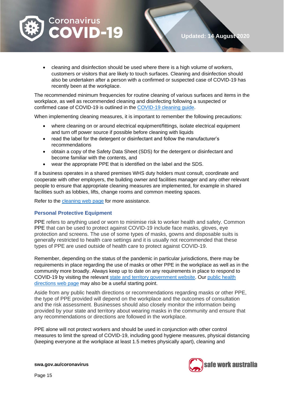

• cleaning and disinfection should be used where there is a high volume of workers, customers or visitors that are likely to touch surfaces. Cleaning and disinfection should also be undertaken after a person with a confirmed or suspected case of COVID-19 has recently been at the workplace.

The recommended minimum frequencies for routine cleaning of various surfaces and items in the workplace, as well as recommended cleaning and disinfecting following a suspected or confirmed case of COVID-19 is outlined in the [COVID-19 cleaning guide.](https://www.safeworkaustralia.gov.au/doc/how-clean-and-disinfect-your-workplace-covid-19)

When implementing cleaning measures, it is important to remember the following precautions:

- where cleaning on or around electrical equipment/fittings, isolate electrical equipment and turn off power source if possible before cleaning with liquids
- read the label for the detergent or disinfectant and follow the manufacturer's recommendations
- obtain a copy of the Safety Data Sheet (SDS) for the detergent or disinfectant and become familiar with the contents, and
- wear the appropriate PPE that is identified on the label and the SDS.

If a business operates in a shared premises WHS duty holders must consult, coordinate and cooperate with other employers, the building owner and facilities manager and any other relevant people to ensure that appropriate cleaning measures are implemented, for example in shared facilities such as lobbies, lifts, change rooms and common meeting spaces.

Refer to the [cleaning web](https://www.safeworkaustralia.gov.au/covid-19-information-workplaces/industry-information/general-industry-information/cleaning) page for more assistance.

#### **Personal Protective Equipment**

PPE refers to anything used or worn to minimise risk to worker health and safety. Common PPE that can be used to protect against COVID-19 include face masks, gloves, eye protection and screens. The use of some types of masks, gowns and disposable suits is generally restricted to health care settings and it is usually not recommended that these types of PPE are used outside of health care to protect against COVID-19.

Remember, depending on the status of the pandemic in particular jurisdictions, there may be requirements in place regarding the use of masks or other PPE in the workplace as well as in the community more broadly. Always keep up to date on any requirements in place to respond to COVID-19 by visiting the relevant [state and territory government website.](https://www.australia.gov.au/#state-and-territory-government-information) Our [public health](https://www.safeworkaustralia.gov.au/covid-19-information-workplaces/other-resources/covid-19-public-health-directions-and-covidsafe)  [directions web](https://www.safeworkaustralia.gov.au/covid-19-information-workplaces/other-resources/covid-19-public-health-directions-and-covidsafe) page may also be a useful starting point.

Aside from any public health directions or recommendations regarding masks or other PPE, the type of PPE provided will depend on the workplace and the outcomes of consultation and the risk assessment. Businesses should also closely monitor the information being provided by your state and territory about wearing masks in the community and ensure that any recommendations or directions are followed in the workplace.

PPE alone will not protect workers and should be used in conjunction with other control measures to limit the spread of COVID-19, including good hygiene measures, physical distancing (keeping everyone at the workplace at least 1.5 metres physically apart), cleaning and



**Updated: 14 August 2020**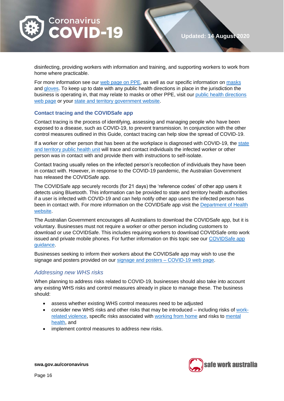

disinfecting, providing workers with information and training, and supporting workers to work from home where practicable.

For more information see our web [page on PPE,](https://www.safeworkaustralia.gov.au/covid-19-information-workplaces/industry-information/general-industry-information/ppe) as well as our specific information on [masks](https://www.safeworkaustralia.gov.au/covid-19-information-workplaces/industry-information/general-industry-information/masks) and [gloves.](https://www.safeworkaustralia.gov.au/covid-19-information-workplaces/industry-information/general-industry-information/gloves) To keep up to date with any public health directions in place in the jurisdiction the business is operating in, that may relate to masks or other PPE, visit our [public health directions](https://www.safeworkaustralia.gov.au/covid-19-information-workplaces/other-resources/covid-19-public-health-directions-and-covidsafe)  web [page](https://www.safeworkaustralia.gov.au/covid-19-information-workplaces/other-resources/covid-19-public-health-directions-and-covidsafe) or your [state and territory government website.](https://www.australia.gov.au/#state-and-territory-government-information)

#### **Contact tracing and the COVIDSafe app**

Contact tracing is the process of identifying, assessing and managing people who have been exposed to a disease, such as COVID-19, to prevent transmission. In conjunction with the other control measures outlined in this Guide, contact tracing can help slow the spread of COVID-19.

If a worker or other person that has been at the workplace is diagnosed with COVID-19, the state [and territory public health unit](https://www.health.gov.au/about-us/contact-us/local-state-and-territory-health-departments) will trace and contact individuals the infected worker or other person was in contact with and provide them with instructions to self-isolate.

Contact tracing usually relies on the infected person's recollection of individuals they have been in contact with. However, in response to the COVID-19 pandemic, the Australian Government has released the COVIDSafe app.

The COVIDSafe app securely records (for 21 days) the 'reference codes' of other app users it detects using Bluetooth. This information can be provided to state and territory health authorities if a user is infected with COVID-19 and can help notify other app users the infected person has been in contact with. For more information on the COVIDSafe app visit the [Department of Health](https://www.health.gov.au/resources/apps-and-tools/covidsafe-app?gclid=EAIaIQobChMIsr2KxPbS6gIVGR4rCh2MkwjCEAAYASAAEgKmevD_BwE)  [website.](https://www.health.gov.au/resources/apps-and-tools/covidsafe-app?gclid=EAIaIQobChMIsr2KxPbS6gIVGR4rCh2MkwjCEAAYASAAEgKmevD_BwE)

The Australian Government encourages all Australians to download the COVIDSafe app, but it is voluntary. Businesses must not require a worker or other person including customers to download or use COVIDSafe. This includes requiring workers to download COVIDSafe onto work issued and private mobile phones. For further information on this topic see our [COVIDSafe app](https://www.safeworkaustralia.gov.au/covid-19-information-workplaces/other-resources/covidsafe-app-guidance)  [guidance.](https://www.safeworkaustralia.gov.au/covid-19-information-workplaces/other-resources/covidsafe-app-guidance)

Businesses seeking to inform their workers about the COVIDSafe app may wish to use the signage and posters provided on our [signage and posters –](https://www.safeworkaustralia.gov.au/doc/signage-and-posters-covid-19) COVID-19 web page.

#### <span id="page-15-0"></span>*Addressing new WHS risks*

When planning to address risks related to COVID-19, businesses should also take into account any existing WHS risks and control measures already in place to manage these. The business should:

- assess whether existing WHS control measures need to be adjusted
- consider new WHS risks and other risks that may be introduced including risks of [work](https://www.safeworkaustralia.gov.au/covid-19-information-workplaces/industry-information/general-industry-information/work-related)[related violence,](https://www.safeworkaustralia.gov.au/covid-19-information-workplaces/industry-information/general-industry-information/work-related) specific risks associated with [working from home](https://www.safeworkaustralia.gov.au/covid-19-information-workplaces/industry-information/general-industry-information/working-home) and risks to [mental](https://www.safeworkaustralia.gov.au/covid-19-information-workplaces/industry-information/general-industry-information/mental-health)  [health,](https://www.safeworkaustralia.gov.au/covid-19-information-workplaces/industry-information/general-industry-information/mental-health) and
- implement control measures to address new risks.

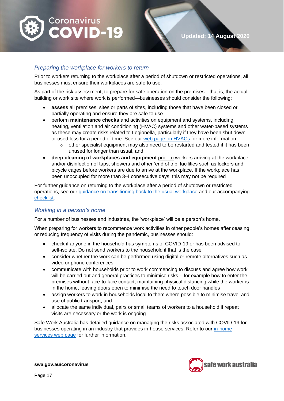

#### <span id="page-16-0"></span>*Preparing the workplace for workers to return*

Prior to workers returning to the workplace after a period of shutdown or restricted operations, all businesses must ensure their workplaces are safe to use.

As part of the risk assessment, to prepare for safe operation on the premises—that is, the actual building or work site where work is performed—businesses should consider the following:

- **assess** all premises, sites or parts of sites, including those that have been closed or partially operating and ensure they are safe to use
- perform **maintenance checks** and activities on equipment and systems, including heating, ventilation and air conditioning (HVAC) systems and other water-based systems as these may create risks related to Legionella, particularly if they have been shut down or used less for a period of time. See our web [page on HVACs](https://www.safeworkaustralia.gov.au/covid-19-information-workplaces/other-resources/heating-ventilation-and-air-conditioning-hvac) for more information.
	- $\circ$  other specialist equipment may also need to be restarted and tested if it has been unused for longer than usual, and
- **deep cleaning of workplaces and equipment** prior to workers arriving at the workplace and/or disinfection of taps, showers and other 'end of trip' facilities such as lockers and bicycle cages before workers are due to arrive at the workplace. If the workplace has been unoccupied for more than 3-4 consecutive days, this may not be required

For further guidance on returning to the workplace after a period of shutdown or restricted operations, see our [guidance on transitioning back to the usual workplace](https://www.safeworkaustralia.gov.au/covid-19-information-workplaces/other-resources/transitioning-back-usual-workplaces) and our accompanying [checklist.](https://www.safeworkaustralia.gov.au/doc/transitioning-back-usual-workplaces-checklist-covid-19)

#### <span id="page-16-1"></span>*Working in a person's home*

For a number of businesses and industries, the 'workplace' will be a person's home.

When preparing for workers to recommence work activities in other people's homes after ceasing or reducing frequency of visits during the pandemic, businesses should:

- check if anyone in the household has symptoms of COVID-19 or has been advised to self-isolate. Do not send workers to the household if that is the case
- consider whether the work can be performed using digital or remote alternatives such as video or phone conferences
- communicate with households prior to work commencing to discuss and agree how work will be carried out and general practices to minimise risks – for example how to enter the premises without face-to-face contact, maintaining physical distancing while the worker is in the home, leaving doors open to minimise the need to touch door handles
- assign workers to work in households local to them where possible to minimise travel and use of public transport, and
- allocate the same individual, pairs or small teams of workers to a household if repeat visits are necessary or the work is ongoing.

Safe Work Australia has detailed guidance on managing the risks associated with COVID-19 for businesses operating in an industry that provides in-house services. Refer to our [in-home](https://www.safeworkaustralia.gov.au/covid-19-information-workplaces/industry-information/home-services)  [services web page](https://www.safeworkaustralia.gov.au/covid-19-information-workplaces/industry-information/home-services) for further information.

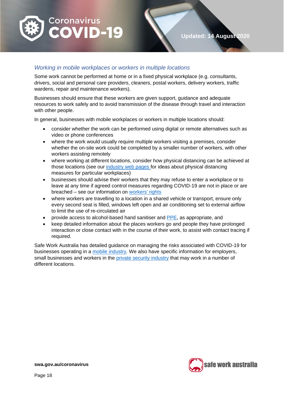

#### <span id="page-17-0"></span>*Working in mobile workplaces or workers in multiple locations*

Some work cannot be performed at home or in a fixed physical workplace (e.g. consultants, drivers, social and personal care providers, cleaners, postal workers, delivery workers, traffic wardens, repair and maintenance workers).

Businesses should ensure that these workers are given support, guidance and adequate resources to work safely and to avoid transmission of the disease through travel and interaction with other people.

In general, businesses with mobile workplaces or workers in multiple locations should:

- consider whether the work can be performed using digital or remote alternatives such as video or phone conferences
- where the work would usually require multiple workers visiting a premises, consider whether the on-site work could be completed by a smaller number of workers, with other workers assisting remotely
- where working at different locations, consider how physical distancing can be achieved at those locations (see our [industry web](https://www.safeworkaustralia.gov.au/covid-19-information-workplaces) pages for ideas about physical distancing measures for particular workplaces)
- businesses should advise their workers that they may refuse to enter a workplace or to leave at any time if agreed control measures regarding COVID-19 are not in place or are breached – see our information on [workers' rights](https://www.safeworkaustralia.gov.au/covid-19-information-workplaces/industry-information/general-industry-information/workers-rights)
- where workers are travelling to a location in a shared vehicle or transport, ensure only every second seat is filled, windows left open and air conditioning set to external airflow to limit the use of re-circulated air
- provide access to alcohol-based hand sanitiser and [PPE,](https://www.safeworkaustralia.gov.au/covid-19-information-workplaces/industry-information/general-industry-information/ppe) as appropriate, and
- keep detailed information about the places workers go and people they have prolonged interaction or close contact with in the course of their work, to assist with contact tracing if required.

Safe Work Australia has detailed guidance on managing the risks associated with COVID-19 for businesses operating in a [mobile industry.](https://www.safeworkaustralia.gov.au/covid-19-information-workplaces/industry-information/mobile-consultants-and-client-engagement) We also have specific information for employers, small businesses and workers in the [private security industry](https://www.safeworkaustralia.gov.au/covid-19-information-workplaces/industry-information/private-security) that may work in a number of different locations.

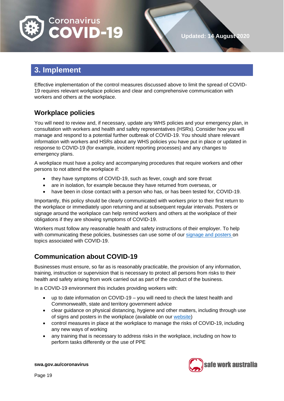

<span id="page-18-0"></span>Effective implementation of the control measures discussed above to limit the spread of COVID-19 requires relevant workplace policies and clear and comprehensive communication with workers and others at the workplace.

## <span id="page-18-1"></span>**Workplace policies**

You will need to review and, if necessary, update any WHS policies and your emergency plan, in consultation with workers and health and safety representatives (HSRs). Consider how you will manage and respond to a potential further outbreak of COVID-19. You should share relevant information with workers and HSRs about any WHS policies you have put in place or updated in response to COVID-19 (for example, incident reporting processes) and any changes to emergency plans.

A workplace must have a policy and accompanying procedures that require workers and other persons to not attend the workplace if:

- they have symptoms of COVID-19, such as fever, cough and sore throat
- are in isolation, for example because they have returned from overseas, or
- have been in close contact with a person who has, or has been tested for, COVID-19.

Importantly, this policy should be clearly communicated with workers prior to their first return to the workplace or immediately upon returning and at subsequent regular intervals. Posters or signage around the workplace can help remind workers and others at the workplace of their obligations if they are showing symptoms of COVID-19.

Workers must follow any reasonable health and safety instructions of their employer. To help with communicating these policies, businesses can use some of our [signage and posters](https://www.safeworkaustralia.gov.au/doc/signage-and-posters-covid-19) on topics associated with COVID-19.

## <span id="page-18-2"></span>**Communication about COVID-19**

Businesses must ensure, so far as is reasonably practicable, the provision of any information, training, instruction or supervision that is necessary to protect all persons from risks to their health and safety arising from work carried out as part of the conduct of the business.

In a COVID-19 environment this includes providing workers with:

- up to date information on COVID-19 you will need to check the latest health and Commonwealth, state and territory government advice
- clear guidance on physical distancing, hygiene and other matters, including through use of signs and posters in the workplace (available on our [website\)](https://www.safeworkaustralia.gov.au/doc/signage-and-posters-covid-19)
- control measures in place at the workplace to manage the risks of COVID-19, including any new ways of working
- any training that is necessary to address risks in the workplace, including on how to perform tasks differently or the use of PPE



**Updated: 14 August 2020**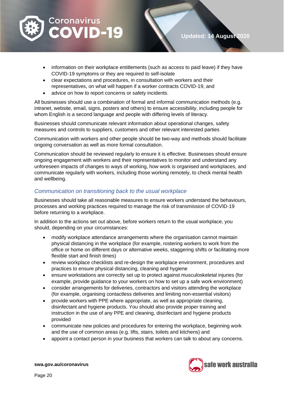

- information on their workplace entitlements (such as access to paid leave) if they have COVID-19 symptoms or they are required to self-isolate
- clear expectations and procedures, in consultation with workers and their representatives, on what will happen if a worker contracts COVID-19, and
- advice on how to report concerns or safety incidents.

All businesses should use a combination of formal and informal communication methods (e.g. intranet, website, email, signs, posters and others) to ensure accessibility, including people for whom English is a second language and people with differing levels of literacy.

Businesses should communicate relevant information about operational changes, safety measures and controls to suppliers, customers and other relevant interested parties

Communication with workers and other people should be two-way and methods should facilitate ongoing conversation as well as more formal consultation.

Communication should be reviewed regularly to ensure it is effective. Businesses should ensure ongoing engagement with workers and their representatives to monitor and understand any unforeseen impacts of changes to ways of working, how work is organised and workplaces, and communicate regularly with workers, including those working remotely, to check mental health and wellbeing.

#### <span id="page-19-0"></span>*Communication on transitioning back to the usual workplace*

Businesses should take all reasonable measures to ensure workers understand the behaviours, processes and working practices required to manage the risk of transmission of COVID-19 before returning to a workplace.

In addition to the actions set out above, before workers return to the usual workplace, you should, depending on your circumstances:

- modify workplace attendance arrangements where the organisation cannot maintain physical distancing in the workplace (for example, rostering workers to work from the office or home on different days or alternative weeks, staggering shifts or facilitating more flexible start and finish times)
- review workplace checklists and re-design the workplace environment, procedures and practices to ensure physical distancing, cleaning and hygiene
- ensure workstations are correctly set up to protect against musculoskeletal injuries (for example, provide guidance to your workers on how to set up a safe work environment)
- consider arrangements for deliveries, contractors and visitors attending the workplace (for example, organising contactless deliveries and limiting non-essential visitors)
- provide workers with PPE where appropriate, as well as appropriate cleaning, disinfectant and hygiene products. You should also provide proper training and instruction in the use of any PPE and cleaning, disinfectant and hygiene products provided
- communicate new policies and procedures for entering the workplace, beginning work and the use of common areas (e.g. lifts, stairs, toilets and kitchens) and
- appoint a contact person in your business that workers can talk to about any concerns.

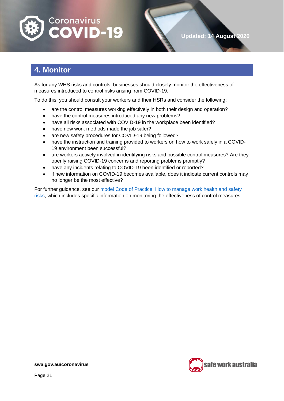

# <span id="page-20-0"></span>**4. Monitor**

As for any WHS risks and controls, businesses should closely monitor the effectiveness of measures introduced to control risks arising from COVID-19.

To do this, you should consult your workers and their HSRs and consider the following:

- are the control measures working effectively in both their design and operation?
- have the control measures introduced any new problems?
- have all risks associated with COVID-19 in the workplace been identified?
- have new work methods made the job safer?
- are new safety procedures for COVID-19 being followed?
- have the instruction and training provided to workers on how to work safely in a COVID-19 environment been successful?
- are workers actively involved in identifying risks and possible control measures? Are they openly raising COVID-19 concerns and reporting problems promptly?
- have any incidents relating to COVID-19 been identified or reported?
- if new information on COVID-19 becomes available, does it indicate current controls may no longer be the most effective?

For further guidance, see our [model Code of Practice: How to manage work health and safety](https://www.safeworkaustralia.gov.au/doc/model-code-practice-how-manage-work-health-and-safety-risks)  [risks,](https://www.safeworkaustralia.gov.au/doc/model-code-practice-how-manage-work-health-and-safety-risks) which includes specific information on monitoring the effectiveness of control measures.